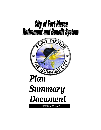

**SEPTEMBER 30, 2019**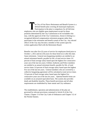he City of Fort Pierce Retirement and Benefit System is a defined benefit plan covering all municipal employees. Participation in the plan is compulsory for all full-time employees who are eligible upon employment except for those positions determined by the City Commission to be excludable who may, with the approval of the City Commission, choose to belong to a recognized deferred compensation retirement program rather than participate in the retirement and benefit system of the City. Any elected officer of the City may become a member of the system upon his written application filed with the Retirement Board.

Benefits vest after five (5) years of service for employees hired prior to October 1, 2012 and ten (10) years for those hired on or after this date. Upon retirement, General non-bargaining members are entitled to an annual retirement benefit, payable for life, of total service times 3.0 percent of final average salary based upon the highest five consecutive years out of the last ten years; Utilities Authority and Police members are entitled to an annual retirement benefit, payable for life, of total service times 3.0 percent of final average salary based upon the highest five out of the last ten years. General members who are covered by a collective bargaining agreement will be calculated at total service times 3.0 percent of final average salary based upon the highest five consecutive years out of the last ten years. Optional benefit forms are available on an actuarial equivalent basis. The system also provides death and disability benefits. These benefit provisions and all other requirements are established by State statute and City ordinance.

The establishment, operation and administration of the plan are governed by relevant provisions contained in Article II of the City Charter, Chapter 13 of the City Code of Ordinances and Chapter 112 of the Florida Statutes.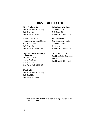## **BOARD OF TRUSTEES**

#### **Keith Stephens, Chair**

Fort Pierce Utilities Authority P. O. Box 3191 Fort Pierce, FL 34948

#### **Mayor Linda Hudson**

Commission Appointed Member City of Fort Pierce P.O. Box 1480 Fort Pierce, FL 34950-1480

### **Caleta Scott, Vice Chair**

City of Fort Pierce P. O. Box 1480 Fort Pierce, FL 34954-1480

#### **Thomas Perona**

City Commission Member City of Fort Pierce P.O. Box 1480 Fort Pierce, FL 34954-1480

#### **Johnna S. Morris, Secretary/ Treasurer**

Director of Finance City of Fort Pierce P. O. Box 1480 Fort Pierce, FL 34954-1480

#### **Nina Penick**

Fort Pierce Utilities Authority P.O. Box 3191 Fort Pierce, FL 34948

#### **Officer Brian Avilla**

Fort Pierce Police Department P.O. Box 1149 Fort Pierce, FL 34954-1149

The Board Contracted Attorney serves as legal counsel to the Board of Trustees.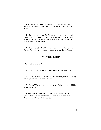The power and authority to administer, manage and operate the Retirement and Benefit System of the City is vested in the Retirement Board.

The Board consists of two City Commissioners; one member appointed by the Utilities Authority; the City Finance Director; one elected Utilities Authority member; one elected general government member; and one elected police officer member.

The Board meets the third Thursday of each month at City Hall in the Second Floor conference room at the times designated by the Board.

## **MEMBERSHIP**

There are three classes of membership:

1. *Utilities Authority Member*. All employees of the Utilities Authority.

 2. *Police Member.* Any employee in the Police Department of the City holding the rank of patrolman or higher.

 3. *General Member.* Any member except a Police member or Utilities Authority member.

 The Retirement and Benefit System is financed by member and participating employer contributions and investment income from Retirement and Benefit System assets.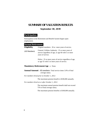## **SUMMARY OF VALUATION RESULTS**

### **September 30, 2019**

## **Participation**

Participation in the Retirement and Benefit System begins upon employment.

#### **Normal Retirement**

| Eligibility   | Original members: 20 or more years of service.                                                                                |
|---------------|-------------------------------------------------------------------------------------------------------------------------------|
| (All Members) | General, Utilities Authority: 25 or more years of<br>service regardless of age, or age 60 with 5 or more<br>years of service. |
|               | Police: 25 or more years of service regardless of age,<br>or age 55 with 5 or more years of service.                          |

### **Mandatory Retirement Age —** None.

**Annual Amount** - All members*:* Total service times 3.0% of final average salary.

*For members hired prior to October 1, 2012:*

The maximum pension benefit is \$100,000 annually.

*For members hired on or after October 1, 2012:* 

 The maximum annual pension benefit shall not exceed 75% of final average salary.

The maximum pension benefits is \$100,000 annually.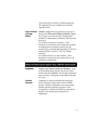|                | The normal form of benefit is a benefit payable for<br>life. Optional forms are available on an actuarial<br>equivalent basis. |
|----------------|--------------------------------------------------------------------------------------------------------------------------------|
| Type of Final  | <i>General:</i> Highest five (5) consecutive years out of                                                                      |
| <b>Average</b> | last ten (10). Police and Utilities Authority: Highest                                                                         |
| Salary         | five $(5)$ years out of last ten $(10)$ . Overtime hours                                                                       |
|                | included in compensation are limited to 300 hours per<br>fiscal year.                                                          |
|                | For members hired prior to October 1, 2012:                                                                                    |
|                | Payments for unused sick and vacation time included<br>in compensation are limited to unused sick and                          |
|                | vacation time accrued through September 20, 2012 for                                                                           |
|                | General $&$ Police, and July 1, 2011 for Utilities<br>Authority.                                                               |
|                | For members hired on or after October 1, 2012:                                                                                 |
|                | Payments for unused sick and vacation time are not<br>included in compensation.                                                |

## **Deferred Retirement Option Plan (DROP) Retirement**

| <b>Eligibility</b> | <b>General and Utilities Authority Members: Same</b><br>as Normal Retirement, election may be on or after<br>normal retirement eligibility, but not after reaching 30<br>years of service. Participation in the DROP ends after<br>five years.                                                                               |
|--------------------|------------------------------------------------------------------------------------------------------------------------------------------------------------------------------------------------------------------------------------------------------------------------------------------------------------------------------|
| Annual<br>Amount   | Computed as a normal retirement but based upon<br>service and final average salary at time of DROP<br>election. Member contributions cease and monthly<br>benefits (and post-retirement increases, if any)<br>accumulate in a self-directed DROP account and are<br>payable to the member upon termination of<br>employment. |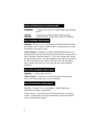#### **Deferred Retirement (vested benefit)**

| <b>Eligibility</b> | 5 or more years of service. Benefit begins upon attaining<br>age $60$ . |
|--------------------|-------------------------------------------------------------------------|
| Annual             | Computed as a normal retirement but based upon                          |
| <b>Amount</b>      | service and final average salary at time of termination.                |

#### j **Duty Disability Retirement**

**Eligibility** - No age or service requirements if the Retirement Board finds the member to be in receipt of weekly workers' compensation on account of disability in the course of duty.

**Annual Amount** - Computed as a normal retirement based upon service projected to the end of the duty disability period and final average salary at time of disability. Minimum benefit is 75% of final average salary during the duty disability period. The duty disability period ends on the earlier of the 25th anniversary of the member's hire date or the date the member attains age 65 but not prior to 5 years from the date of duty disability retirement.

#### **Non-Duty Disability Retirement**

**Eligibility** - 5 or more years of service.

**Annual Amount** - Computed as a normal retirement but based upon service and final average salary at time of disability.

#### **Duty Death Before Retirement**

Eligibility - No age or service requirements. Benefits begin upon termination of workers' compensation.

Annual Amount - A benefit equal to the same amount that was paid by workers' compensation to the spouse until death, to unmarried children under 18 and dependent parents.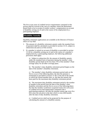The five or ten years of credited service requirements contained in this section shall be waived in the case of a member whom the Retirement Board finds to be in receipt of weekly workers' compensation on account of disability arising out of and in the course of his employment by a participating employer.

#### **Disability Annuity**

Disability retirement applications are available at the Director of Finance office at City Hall.

- 1. The amount of a disability retirement annuity under the standard form of payment shall be calculated as provided in section 13-31, subject to subsections (b) and (c) of this section.
- 2. If a member is retired on account of disability as provided in section 13-36 for a disability arising out of and in the course of a member's employment by a participating employer, the following additional provisions shall apply:

 a) Subject to subsection (b), the amount of disability annuity under the standard form of payment during the member's duty disability period shall not be less than 75% of the member's final average salary for all other coverage plans.

 b) The member's duty disability retirement period begins on the date of the member's disability retirement.

 c) The member's duty disability retirement period ends on the first to occur of the following dates: the date the pension is terminated as provided in section 13-38; or the end of the month in which the retired member dies; or, the date the annuity has been paid for the maximum duty disability retirement period.

d) The maximum duty disability retirement period is the number of months in the period from the date of the member's duty disability retirement and the first to occur of the following dates: the date the member would have acquired twenty-five (25) years of credited service had employment continued with a participating employer; the date the member attains age sixty-five  $(65)$  years but not prior to the date which is sixty  $(60)$  months after the date of duty disability retirement.

e) Credited service shall not be projected for the purpose of calculating the amount of a disability annuity.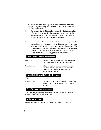f) At the end of the disability period the disability benefit would convert to a regular retirement benefit with service credit granted for the duty disability period

- 3. The amount of a disability retirement annuity shall not exceed the difference between one hundred (100%) percent of the member's final average salary and the monthly equivalent of any weekly workers' compensation paid the retired member.
- 4. In no case shall the amount of the duty disability annuity under the standard form of payment for a police officer member be less than forty-two (42%) percent of final salary, nor shall the amount of the non-duty disability annuity under the standard form of payment for a police officer member who has ten (10) or more years of service be less than twenty-five (25%) percent of final salary.

#### **Duty Death Before Retirement**

| Eligibility          | No age or service requirements. Benefits begin<br>upon termination of workers' compensation.                                                                       |  |  |
|----------------------|--------------------------------------------------------------------------------------------------------------------------------------------------------------------|--|--|
| <b>Annual Amount</b> | A benefit equal to the same amount that was<br>paid by workers' compensation to the widow<br>until death, to unmarried children under 18<br>and dependent parents. |  |  |
|                      | <b>Non-Duty Death Before Retirement</b>                                                                                                                            |  |  |
| Eligibility          | 5 or more years of service.                                                                                                                                        |  |  |
| Annual Amount        | Computed as a normal retirement but actuarially<br>reduced in accordance with a 100% joint and                                                                     |  |  |

#### **Post-Retirement Increases**

COLA may be granted from investment returns in excess of actuarial interest assumptions, not to exceed 3%.

survivor election.

#### **Military Service**

May be purchased by members who meet the eligibility conditions.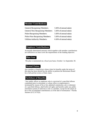#### **Member Contributions**

| <b>General Bargaining Members:</b>     | 5.16% of annual salary |
|----------------------------------------|------------------------|
| <b>General Non-Bargaining Members:</b> | 5.16% of annual salary |
| <b>Police Bargaining Members:</b>      | 5.16% of annual salary |
| <b>Police Non-Bargaining Members:</b>  | 5.16% of annual salary |
| <b>Utilities Authority Members:</b>    | 6.16% of annual salary |

#### **Employer Contributions**

Actuarially determined amounts which together with member contributions are sufficient to at least cover the requirements of the funding objective.

#### **Plan Year**

The plan is maintained on a fiscal year basis, October 1 to September 30.

#### **Denied Claims**

Any member or beneficiary whose claim for benefits under the terms of this plan has been denied has the ability to petition the Retirement Board for a full and fair review of their claim.

#### **Forfeiture of Benefits**

"Any public officer or employee who is convicted of a specified offense committed prior to retirement, or whose office or employment is terminated by reason of his or her admitted commission, aid, or abetment of a specified offense, shall forfeit all rights and benefits under any public retirement system of which he or she is a member, except for the return of his or her accumulated contributions as of the date of termination." Florida Statutes §112.3173(3).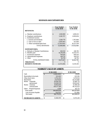## **REVENUES AND EXPENDITURES**

|                                                    |               | <b>Year Ended</b><br>9/30/2019 |              | Year Ended<br>9/30/2018 |
|----------------------------------------------------|---------------|--------------------------------|--------------|-------------------------|
| <b>REVENUES:</b>                                   |               |                                |              |                         |
| a. Member contributions                            | <sub>S</sub>  | 1,818,969                      | S            | 1,690,811               |
| b. Employer contributions<br>c. Investment income: |               | 5,240,707                      |              | 4,909,654               |
| 1. Interest and dividends                          |               | 3,569,779                      |              | 3,787,868               |
| 2. Gain or loss on sales                           |               | 5,000,903                      |              | 417,068                 |
| 3. Other (unrealized gain/loss)                    |               | (2,530,450)                    |              | 16,227,539              |
| <b>TOTAL REVENUES</b>                              | <sub>S</sub>  | 13,099,908                     | S            | 27,032,940              |
| <b>EXPENDITURES:</b>                               |               |                                |              |                         |
| a. Refunds or Member Contributions                 | <sub>S</sub>  | 428,152                        | <sup>S</sup> | 248,781                 |
| b. Benefits paid                                   |               | 14,176,818                     |              | 13,532,573              |
| c. Investment expenses                             |               | 759,826                        |              | 806,415                 |
| d. Administrative expenses                         |               | 249,712                        |              | 209,251                 |
| e. Other                                           |               | 56,759                         |              | 46,756                  |
| <b>TOTAL EXPENDITURES</b>                          | $\mathcal{S}$ | 15,671,267                     | S            | 14,841,790              |
| <b>Adjustments:</b>                                | $\mathbf S$   | 0                              | Ś            | 0                       |
| <b>RESERVE INCREASE:</b>                           | <sub>S</sub>  | (2,571,359)                    | Ś            | 12,191,150              |

## **MARKET VALUE OF ASSETS**

|                                 |              | 9/30/2019   |   | 9/30/2018   |
|---------------------------------|--------------|-------------|---|-------------|
| Cash                            | <sub>S</sub> | (1,850,000) | S | 95,891      |
| Receivables & Accruals          |              | 522,063     |   | 623,581     |
| Other short-term                |              | 4.702.303   |   | 3.076.924   |
| <b>Real Estate</b>              |              | 21,671230   |   | 20,372,890  |
| Bonds - corporate               |              | 19,458,250  |   | 15,586,770  |
| - government                    |              | 25,818,039  |   | 29.855.487  |
| Stocks - common                 |              | 14.901.644  |   | 13,788,126  |
| - mutual funds                  |              | 109.577.169 |   | 99.752.022  |
| <b>Other - Prepaid Expenses</b> |              | 3,936       |   | 105,712     |
| <b>Total Assets</b>             | <sup>S</sup> | 194.804.634 | Ŝ | 183,257,403 |
| <b>Less Accounts Payable</b>    |              | (30, 522)   |   | (51, 386)   |
| <b>Net Assets</b>               | <sub>S</sub> | 194.774.112 | S | 183.206.017 |
| <b>INCREASE IN ASSETS</b>       | s            | 11,568,095  | S | 8,572,210   |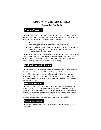## **SUMMARY OF VALUATION RESULTS**

### **September 30, 2019**

## **Funding Objective**

The basic funding objective of the Retirement and Benefit System is to avoid transfer of the cost of benefit obligations between generations of taxpayers. This objective is implemented by contributions sufficient to:

- Pay for costs allocated to the current year on account of service rendered by participants in the current year (Normal Cost)
- Pay for costs allocated to prior years on account of service rendered by participants in prior years (Unfunded Actuarial Accrued Liability) over a maximum 30-year period.

The annual actuarial valuation measures the relationship between Retirement and Benefit System obligations and assets and determines the contribution rates for the ensuing year. When appropriate, amortization bases were combined in order to moderate scheduled contribution rate volatility.

## **Funding Progress Indicators**

The September 30, 2019 actuarial valuation indicates that the actuarial accrued liabilities of the Retirement and Benefit System are 90% funded by valuation assets. This is the same as last year's funded ratio of 90%. Although not historically referred to, the ratio of the market value of assets to the Actuarial Accrued Liabilities is 88% which is a decrease from last year's market value funded ratio of 93%.

## **Trends To Monitor**

The funding value of assets currently exceeds the funding value of assets by approximately \$3.7 million. Absent investment returns below the 7.75% assumed or losses from other sources, this will create an upward pressure on contribution requirements and a coinciding downward pressure on the funded ratios in subsequent valuation years. Please also refer to page A-7 and pay particular attention to the discussion at the end of the risks section.

## **Assumption Changes**

There were no assumption or method changes as of the September 30, 2019 valuation.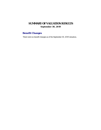# **SUMMARY OF VALUATION RESULTS September 30, 2019**

# **Benefit Changes**

There were no benefit changes as of the September 30, 2019 valuation.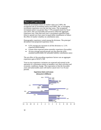## **Observed Experience**

**Funding Objective**  investment return was greater than 7.75% assumed return for fiscal While the investment return on market value was 2.60%, the recognized rate of investment return was 8.08% due to averaging investment experience over the last four years. The recognized year 2019. This was favorable and served to offset the aggregate experience loss. Note that each year's investment experience gain (loss) is spread over four years in equal dollar installments to reduce the effect of market volatility on contribution rates.

Demographic experience varied among the divisions. The principal deviations from projected experience were:

- 9.2% average pay increases in all the divisions vs. 5.1% expected (unfavorable)
- Greater than expected retiree mortality experience (favorable)
- 10-year average payroll growth was less than the 4.0% assumed (unfavorable for unfunded liability contribution rates)

The net effect of the preceding experience factors was an aggregate experience gain of \$2,071,760.

economic conditions change. The expectation is that the favorable Year-to-year experience variations are expected and normal in the operation of a retirement system as members vary their activities and years and unfavorable years will tend to cancel over 5 to 10 year periods.

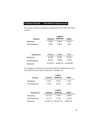## **Valuation Results – Contribution Requirement**

The percent of payroll contribution requirements for the 2020-2021 fiscal year are:

|                   | <b>Utilities</b> |                  |               |
|-------------------|------------------|------------------|---------------|
| <b>Members</b>    | <b>General</b>   | <b>Authority</b> | <b>Police</b> |
| <b>Bargaining</b> | 5.16 %           | 6.16 $%$         | 5.16 %        |
| Non-Bargaining    | 5.16%            | 6.16 $%$         | 5.16%         |

| <b>Employer for</b> | General | <b>Utilities</b> | <b>Police</b> |
|---------------------|---------|------------------|---------------|
| <b>Bargaining</b>   | 16.82%  | 16.46%           | 13.31%        |
| Non-Bargaining      | 16.82%  | 16.46%           | 13.31%        |
| <b>Illustrative</b> |         |                  |               |

For comparison, the percent-of-payroll contribution requirements for the 2019-2020 fiscal year based on last year's valuation are:

|                   | <b>Utilities</b> |                  |               |  |
|-------------------|------------------|------------------|---------------|--|
| <b>Members</b>    | <b>General</b>   | <b>Authority</b> | <b>Police</b> |  |
| <b>Bargaining</b> | 5.16%            | 6.16%            | 5.16%         |  |
| Non-Bargaining    | 5.16%            | 6.16%            | 5.16%         |  |

|                     | <b>Utilities</b> |                  |           |  |
|---------------------|------------------|------------------|-----------|--|
| <b>Employer for</b> | <b>General</b>   | <b>Authority</b> | Police    |  |
| Bargaining          | 16.77%           | 17.58%           | 11.99%    |  |
| Non-Bargaining      | 16.77%           | 17.58%           | 11.99%    |  |
| Illustrative        | \$1,596,725      | \$2,592,714      | \$885,165 |  |